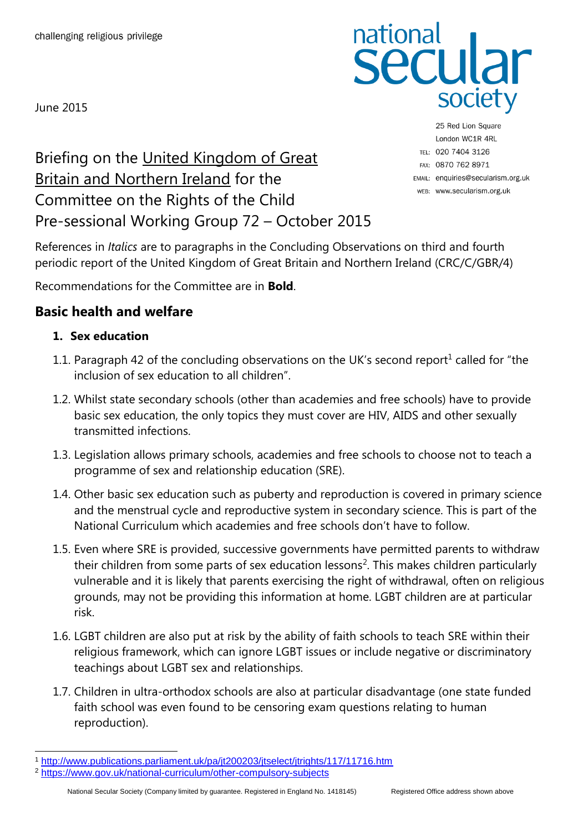June 2015

# national<br>Secular society

Briefing on the United Kingdom of Great **Britain and Northern Ireland for the** Committee on the Rights of the Child Pre-sessional Working Group 72 – October 2015

25 Red Lion Square London WC1R 4RL TEL: 020 7404 3126 FAX: 0870 762 8971 EMAIL: enquiries@secularism.org.uk WEB: www.secularism.org.uk

References in *Italics* are to paragraphs in the Concluding Observations on third and fourth periodic report of the United Kingdom of Great Britain and Northern Ireland (CRC/C/GBR/4)

Recommendations for the Committee are in **Bold**.

# **Basic health and welfare**

#### **1. Sex education**

- 1.1. Paragraph 42 of the concluding observations on the UK's second report<sup>1</sup> called for "the inclusion of sex education to all children".
- 1.2. Whilst state secondary schools (other than academies and free schools) have to provide basic sex education, the only topics they must cover are HIV, AIDS and other sexually transmitted infections.
- 1.3. Legislation allows primary schools, academies and free schools to choose not to teach a programme of sex and relationship education (SRE).
- 1.4. Other basic sex education such as puberty and reproduction is covered in primary science and the menstrual cycle and reproductive system in secondary science. This is part of the National Curriculum which academies and free schools don't have to follow.
- 1.5. Even where SRE is provided, successive governments have permitted parents to withdraw their children from some parts of sex education lessons<sup>2</sup>. This makes children particularly vulnerable and it is likely that parents exercising the right of withdrawal, often on religious grounds, may not be providing this information at home. LGBT children are at particular risk.
- 1.6. LGBT children are also put at risk by the ability of faith schools to teach SRE within their religious framework, which can ignore LGBT issues or include negative or discriminatory teachings about LGBT sex and relationships.
- 1.7. Children in ultra-orthodox schools are also at particular disadvantage (one state funded faith school was even found to be censoring exam questions relating to human reproduction).

<sup>1</sup> <http://www.publications.parliament.uk/pa/jt200203/jtselect/jtrights/117/11716.htm>

<sup>2</sup> <https://www.gov.uk/national-curriculum/other-compulsory-subjects>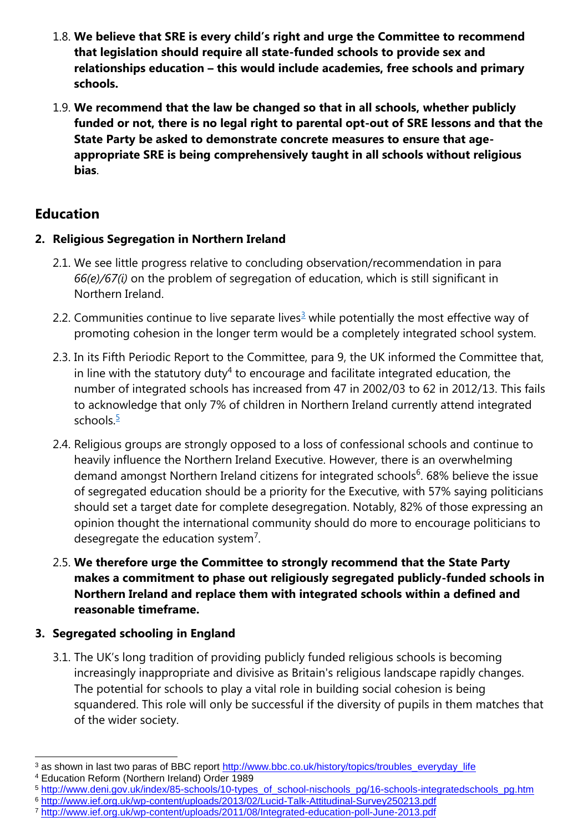- 1.8. **We believe that SRE is every child's right and urge the Committee to recommend that legislation should require all state-funded schools to provide sex and relationships education – this would include academies, free schools and primary schools.**
- 1.9. **We recommend that the law be changed so that in all schools, whether publicly funded or not, there is no legal right to parental opt-out of SRE lessons and that the State Party be asked to demonstrate concrete measures to ensure that ageappropriate SRE is being comprehensively taught in all schools without religious bias**.

# **Education**

#### **2. Religious Segregation in Northern Ireland**

- 2.1. We see little progress relative to concluding observation/recommendation in para *66(e)/67(i)* on the problem of segregation of education, which is still significant in Northern Ireland.
- 2.2. Communities continue to live separate lives<sup>3</sup> while potentially the most effective way of promoting cohesion in the longer term would be a completely integrated school system.
- 2.3. In its Fifth Periodic Report to the Committee, para 9, the UK informed the Committee that, in line with the statutory duty<sup>4</sup> to encourage and facilitate integrated education, the number of integrated schools has increased from 47 in 2002/03 to 62 in 2012/13. This fails to acknowledge that only 7% of children in Northern Ireland currently attend integrated schools. $\frac{5}{2}$
- 2.4. Religious groups are strongly opposed to a loss of confessional schools and continue to heavily influence the Northern Ireland Executive. However, there is an overwhelming demand amongst Northern Ireland citizens for integrated schools<sup>6</sup>. 68% believe the issue of segregated education should be a priority for the Executive, with 57% saying politicians should set a target date for complete desegregation. Notably, 82% of those expressing an opinion thought the international community should do more to encourage politicians to desegregate the education system<sup>7</sup>.
- 2.5. **We therefore urge the Committee to strongly recommend that the State Party makes a commitment to phase out religiously segregated publicly-funded schools in Northern Ireland and replace them with integrated schools within a defined and reasonable timeframe.**

## **3. Segregated schooling in England**

3.1. The UK's long tradition of providing publicly funded religious schools is becoming increasingly inappropriate and divisive as Britain's religious landscape rapidly changes. The potential for schools to play a vital role in building social cohesion is being squandered. This role will only be successful if the diversity of pupils in them matches that of the wider society.

<sup>3</sup> as shown in last two paras of BBC report [http://www.bbc.co.uk/history/topics/troubles\\_everyday\\_life](http://www.bbc.co.uk/history/topics/troubles_everyday_life)

<sup>4</sup> Education Reform (Northern Ireland) Order 1989

<sup>5</sup> [http://www.deni.gov.uk/index/85-schools/10-types\\_of\\_school-nischools\\_pg/16-schools-integratedschools\\_pg.htm](http://www.deni.gov.uk/index/85-schools/10-types_of_school-nischools_pg/16-schools-integratedschools_pg.htm)

<sup>6</sup> <http://www.ief.org.uk/wp-content/uploads/2013/02/Lucid-Talk-Attitudinal-Survey250213.pdf>

<sup>7</sup> <http://www.ief.org.uk/wp-content/uploads/2011/08/Integrated-education-poll-June-2013.pdf>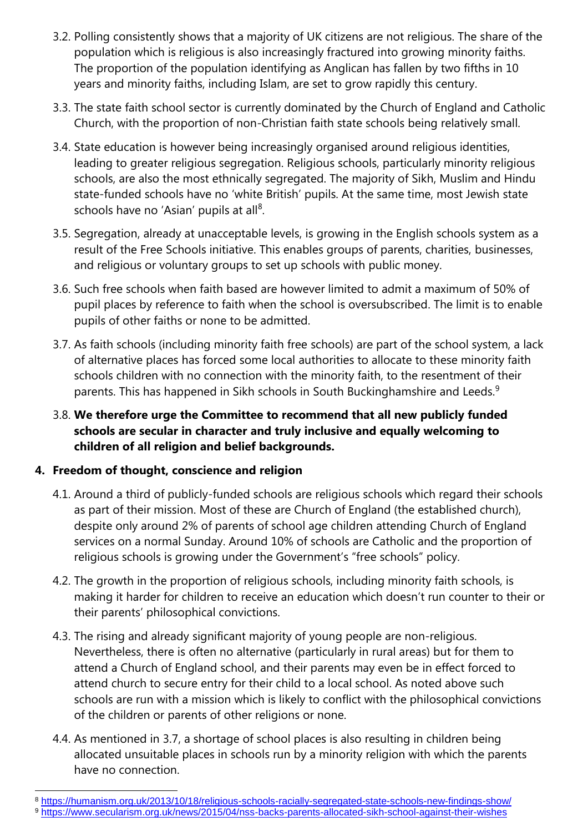- 3.2. Polling consistently shows that a majority of UK citizens are not religious. The share of the population which is religious is also increasingly fractured into growing minority faiths. The proportion of the population identifying as Anglican has fallen by two fifths in 10 years and minority faiths, including Islam, are set to grow rapidly this century.
- 3.3. The state faith school sector is currently dominated by the Church of England and Catholic Church, with the proportion of non-Christian faith state schools being relatively small.
- 3.4. State education is however being increasingly organised around religious identities, leading to greater religious segregation. Religious schools, particularly minority religious schools, are also the most ethnically segregated. The majority of Sikh, Muslim and Hindu state-funded schools have no 'white British' pupils. At the same time, most Jewish state schools have no 'Asian' pupils at all<sup>8</sup>.
- 3.5. Segregation, already at unacceptable levels, is growing in the English schools system as a result of the Free Schools initiative. This enables groups of parents, charities, businesses, and religious or voluntary groups to set up schools with public money.
- 3.6. Such free schools when faith based are however limited to admit a maximum of 50% of pupil places by reference to faith when the school is oversubscribed. The limit is to enable pupils of other faiths or none to be admitted.
- 3.7. As faith schools (including minority faith free schools) are part of the school system, a lack of alternative places has forced some local authorities to allocate to these minority faith schools children with no connection with the minority faith, to the resentment of their parents. This has happened in Sikh schools in South Buckinghamshire and Leeds.<sup>9</sup>
- 3.8. **We therefore urge the Committee to recommend that all new publicly funded schools are secular in character and truly inclusive and equally welcoming to children of all religion and belief backgrounds.**

#### **4. Freedom of thought, conscience and religion**

- 4.1. Around a third of publicly-funded schools are religious schools which regard their schools as part of their mission. Most of these are Church of England (the established church), despite only around 2% of parents of school age children attending Church of England services on a normal Sunday. Around 10% of schools are Catholic and the proportion of religious schools is growing under the Government's "free schools" policy.
- 4.2. The growth in the proportion of religious schools, including minority faith schools, is making it harder for children to receive an education which doesn't run counter to their or their parents' philosophical convictions.
- 4.3. The rising and already significant majority of young people are non-religious. Nevertheless, there is often no alternative (particularly in rural areas) but for them to attend a Church of England school, and their parents may even be in effect forced to attend church to secure entry for their child to a local school. As noted above such schools are run with a mission which is likely to conflict with the philosophical convictions of the children or parents of other religions or none.
- 4.4. As mentioned in 3.7, a shortage of school places is also resulting in children being allocated unsuitable places in schools run by a minority religion with which the parents have no connection.

<sup>8</sup> <https://humanism.org.uk/2013/10/18/religious-schools-racially-segregated-state-schools-new-findings-show/>

<sup>9</sup> <https://www.secularism.org.uk/news/2015/04/nss-backs-parents-allocated-sikh-school-against-their-wishes>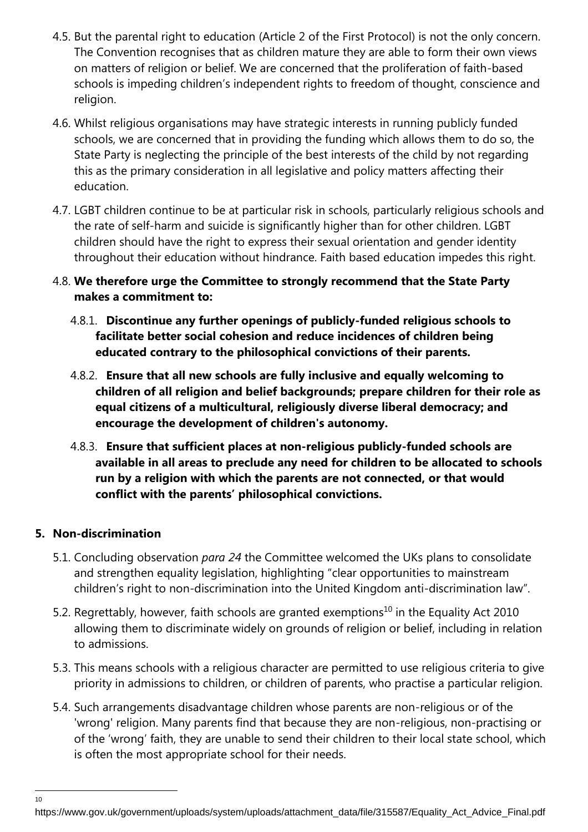- 4.5. But the parental right to education (Article 2 of the First Protocol) is not the only concern. The Convention recognises that as children mature they are able to form their own views on matters of religion or belief. We are concerned that the proliferation of faith-based schools is impeding children's independent rights to freedom of thought, conscience and religion.
- 4.6. Whilst religious organisations may have strategic interests in running publicly funded schools, we are concerned that in providing the funding which allows them to do so, the State Party is neglecting the principle of the best interests of the child by not regarding this as the primary consideration in all legislative and policy matters affecting their education.
- 4.7. LGBT children continue to be at particular risk in schools, particularly religious schools and the rate of self-harm and suicide is significantly higher than for other children. LGBT children should have the right to express their sexual orientation and gender identity throughout their education without hindrance. Faith based education impedes this right.
- 4.8. **We therefore urge the Committee to strongly recommend that the State Party makes a commitment to:**
	- 4.8.1. **Discontinue any further openings of publicly-funded religious schools to facilitate better social cohesion and reduce incidences of children being educated contrary to the philosophical convictions of their parents.**
	- 4.8.2. **Ensure that all new schools are fully inclusive and equally welcoming to children of all religion and belief backgrounds; prepare children for their role as equal citizens of a multicultural, religiously diverse liberal democracy; and encourage the development of children's autonomy.**
	- 4.8.3. **Ensure that sufficient places at non-religious publicly-funded schools are available in all areas to preclude any need for children to be allocated to schools run by a religion with which the parents are not connected, or that would conflict with the parents' philosophical convictions.**

#### **5. Non-discrimination**

- 5.1. Concluding observation *para 24* the Committee welcomed the UKs plans to consolidate and strengthen equality legislation, highlighting "clear opportunities to mainstream children's right to non-discrimination into the United Kingdom anti-discrimination law".
- 5.2. Regrettably, however, faith schools are granted exemptions<sup>10</sup> in the Equality Act 2010 allowing them to discriminate widely on grounds of religion or belief, including in relation to admissions.
- 5.3. This means schools with a religious character are permitted to use religious criteria to give priority in admissions to children, or children of parents, who practise a particular religion.
- 5.4. Such arrangements disadvantage children whose parents are non-religious or of the 'wrong' religion. Many parents find that because they are non-religious, non-practising or of the 'wrong' faith, they are unable to send their children to their local state school, which is often the most appropriate school for their needs.

https://www.gov.uk/government/uploads/system/uploads/attachment\_data/file/315587/Equality\_Act\_Advice\_Final.pdf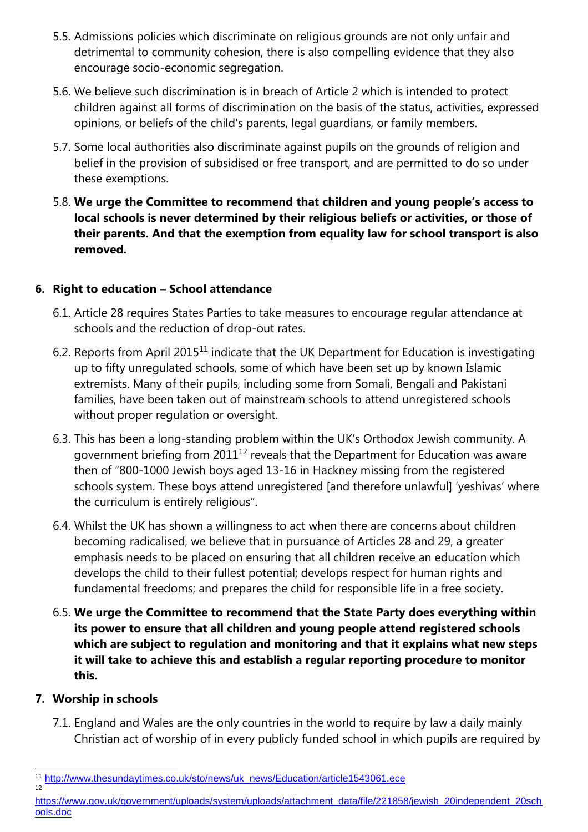- 5.5. Admissions policies which discriminate on religious grounds are not only unfair and detrimental to community cohesion, there is also compelling evidence that they also encourage socio-economic segregation.
- 5.6. We believe such discrimination is in breach of Article 2 which is intended to protect children against all forms of discrimination on the basis of the status, activities, expressed opinions, or beliefs of the child's parents, legal guardians, or family members.
- 5.7. Some local authorities also discriminate against pupils on the grounds of religion and belief in the provision of subsidised or free transport, and are permitted to do so under these exemptions.
- 5.8. **We urge the Committee to recommend that children and young people's access to local schools is never determined by their religious beliefs or activities, or those of their parents. And that the exemption from equality law for school transport is also removed.**

#### **6. Right to education – School attendance**

- 6.1. Article 28 requires States Parties to take measures to encourage regular attendance at schools and the reduction of drop-out rates.
- 6.2. Reports from April 2015<sup>11</sup> indicate that the UK Department for Education is investigating up to fifty unregulated schools, some of which have been set up by known Islamic extremists. Many of their pupils, including some from Somali, Bengali and Pakistani families, have been taken out of mainstream schools to attend unregistered schools without proper regulation or oversight.
- 6.3. This has been a long-standing problem within the UK's Orthodox Jewish community. A government briefing from  $2011^{12}$  reveals that the Department for Education was aware then of "800-1000 Jewish boys aged 13-16 in Hackney missing from the registered schools system. These boys attend unregistered [and therefore unlawful] 'yeshivas' where the curriculum is entirely religious".
- 6.4. Whilst the UK has shown a willingness to act when there are concerns about children becoming radicalised, we believe that in pursuance of Articles 28 and 29, a greater emphasis needs to be placed on ensuring that all children receive an education which develops the child to their fullest potential; develops respect for human rights and fundamental freedoms; and prepares the child for responsible life in a free society.
- 6.5. **We urge the Committee to recommend that the State Party does everything within its power to ensure that all children and young people attend registered schools which are subject to regulation and monitoring and that it explains what new steps it will take to achieve this and establish a regular reporting procedure to monitor this.**

#### **7. Worship in schools**

12

7.1. England and Wales are the only countries in the world to require by law a daily mainly Christian act of worship of in every publicly funded school in which pupils are required by

l <sup>11</sup> [http://www.thesundaytimes.co.uk/sto/news/uk\\_news/Education/article1543061.ece](http://www.thesundaytimes.co.uk/sto/news/uk_news/Education/article1543061.ece)

[https://www.gov.uk/government/uploads/system/uploads/attachment\\_data/file/221858/jewish\\_20independent\\_20sch](https://www.gov.uk/government/uploads/system/uploads/attachment_data/file/221858/jewish_20independent_20schools.doc) [ools.doc](https://www.gov.uk/government/uploads/system/uploads/attachment_data/file/221858/jewish_20independent_20schools.doc)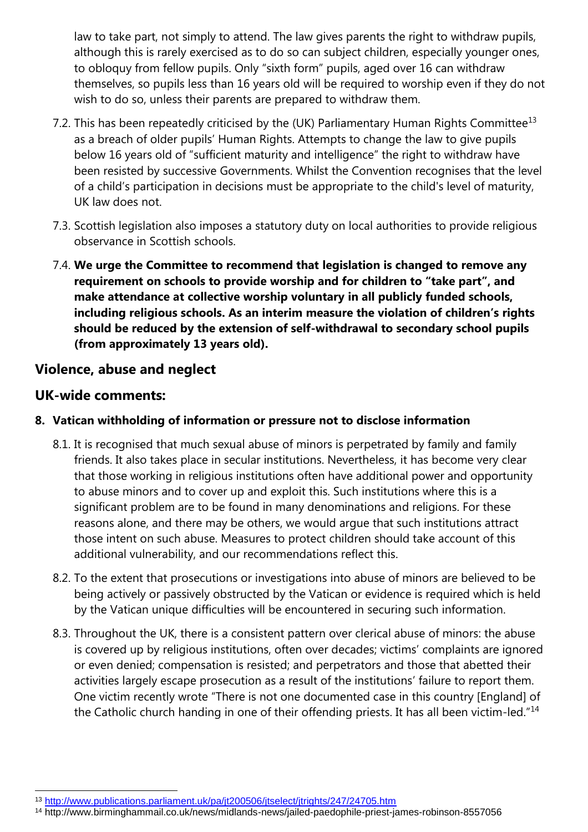law to take part, not simply to attend. The law gives parents the right to withdraw pupils, although this is rarely exercised as to do so can subject children, especially younger ones, to obloquy from fellow pupils. Only "sixth form" pupils, aged over 16 can withdraw themselves, so pupils less than 16 years old will be required to worship even if they do not wish to do so, unless their parents are prepared to withdraw them.

- 7.2. This has been repeatedly criticised by the (UK) Parliamentary Human Rights Committee<sup>13</sup> as a breach of older pupils' Human Rights. Attempts to change the law to give pupils below 16 years old of "sufficient maturity and intelligence" the right to withdraw have been resisted by successive Governments. Whilst the Convention recognises that the level of a child's participation in decisions must be appropriate to the child's level of maturity, UK law does not.
- 7.3. Scottish legislation also imposes a statutory duty on local authorities to provide religious observance in Scottish schools.
- 7.4. **We urge the Committee to recommend that legislation is changed to remove any requirement on schools to provide worship and for children to "take part", and make attendance at collective worship voluntary in all publicly funded schools, including religious schools. As an interim measure the violation of children's rights should be reduced by the extension of self-withdrawal to secondary school pupils (from approximately 13 years old).**

# **Violence, abuse and neglect**

# **UK-wide comments:**

- **8. Vatican withholding of information or pressure not to disclose information**
	- 8.1. It is recognised that much sexual abuse of minors is perpetrated by family and family friends. It also takes place in secular institutions. Nevertheless, it has become very clear that those working in religious institutions often have additional power and opportunity to abuse minors and to cover up and exploit this. Such institutions where this is a significant problem are to be found in many denominations and religions. For these reasons alone, and there may be others, we would argue that such institutions attract those intent on such abuse. Measures to protect children should take account of this additional vulnerability, and our recommendations reflect this.
	- 8.2. To the extent that prosecutions or investigations into abuse of minors are believed to be being actively or passively obstructed by the Vatican or evidence is required which is held by the Vatican unique difficulties will be encountered in securing such information.
	- 8.3. Throughout the UK, there is a consistent pattern over clerical abuse of minors: the abuse is covered up by religious institutions, often over decades; victims' complaints are ignored or even denied; compensation is resisted; and perpetrators and those that abetted their activities largely escape prosecution as a result of the institutions' failure to report them. One victim recently wrote "There is not one documented case in this country [England] of the Catholic church handing in one of their offending priests. It has all been victim-led."<sup>14</sup>

<sup>13</sup> <http://www.publications.parliament.uk/pa/jt200506/jtselect/jtrights/247/24705.htm>

<sup>14</sup> http://www.birminghammail.co.uk/news/midlands-news/jailed-paedophile-priest-james-robinson-8557056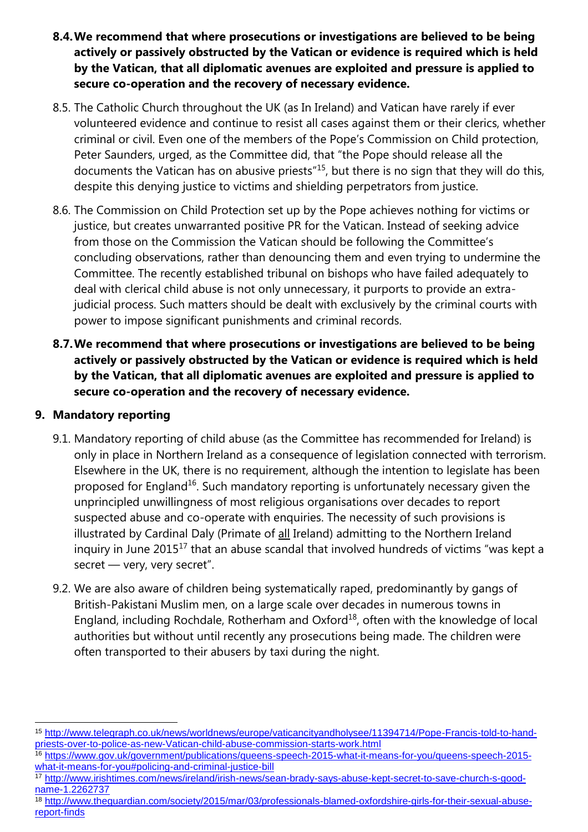- **8.4.We recommend that where prosecutions or investigations are believed to be being actively or passively obstructed by the Vatican or evidence is required which is held by the Vatican, that all diplomatic avenues are exploited and pressure is applied to secure co-operation and the recovery of necessary evidence.**
- 8.5. The Catholic Church throughout the UK (as In Ireland) and Vatican have rarely if ever volunteered evidence and continue to resist all cases against them or their clerics, whether criminal or civil. Even one of the members of the Pope's Commission on Child protection, Peter Saunders, urged, as the Committee did, that "the Pope should release all the documents the Vatican has on abusive priests"<sup>15</sup>, but there is no sign that they will do this, despite this denying justice to victims and shielding perpetrators from justice.
- 8.6. The Commission on Child Protection set up by the Pope achieves nothing for victims or justice, but creates unwarranted positive PR for the Vatican. Instead of seeking advice from those on the Commission the Vatican should be following the Committee's concluding observations, rather than denouncing them and even trying to undermine the Committee. The recently established tribunal on bishops who have failed adequately to deal with clerical child abuse is not only unnecessary, it purports to provide an extrajudicial process. Such matters should be dealt with exclusively by the criminal courts with power to impose significant punishments and criminal records.
- **8.7.We recommend that where prosecutions or investigations are believed to be being actively or passively obstructed by the Vatican or evidence is required which is held by the Vatican, that all diplomatic avenues are exploited and pressure is applied to secure co-operation and the recovery of necessary evidence.**

#### **9. Mandatory reporting**

- 9.1. Mandatory reporting of child abuse (as the Committee has recommended for Ireland) is only in place in Northern Ireland as a consequence of legislation connected with terrorism. Elsewhere in the UK, there is no requirement, although the intention to legislate has been proposed for England<sup>16</sup>. Such mandatory reporting is unfortunately necessary given the unprincipled unwillingness of most religious organisations over decades to report suspected abuse and co-operate with enquiries. The necessity of such provisions is illustrated by Cardinal Daly (Primate of all Ireland) admitting to the Northern Ireland inquiry in June 2015<sup>17</sup> that an abuse scandal that involved hundreds of victims "was kept a secret - very, very secret".
- 9.2. We are also aware of children being systematically raped, predominantly by gangs of British-Pakistani Muslim men, on a large scale over decades in numerous towns in England, including Rochdale, Rotherham and Oxford $^{18}$ , often with the knowledge of local authorities but without until recently any prosecutions being made. The children were often transported to their abusers by taxi during the night.

l <sup>15</sup> [http://www.telegraph.co.uk/news/worldnews/europe/vaticancityandholysee/11394714/Pope-Francis-told-to-hand](http://www.telegraph.co.uk/news/worldnews/europe/vaticancityandholysee/11394714/Pope-Francis-told-to-hand-priests-over-to-police-as-new-Vatican-child-abuse-commission-starts-work.html)[priests-over-to-police-as-new-Vatican-child-abuse-commission-starts-work.html](http://www.telegraph.co.uk/news/worldnews/europe/vaticancityandholysee/11394714/Pope-Francis-told-to-hand-priests-over-to-police-as-new-Vatican-child-abuse-commission-starts-work.html)

<sup>16</sup> [https://www.gov.uk/government/publications/queens-speech-2015-what-it-means-for-you/queens-speech-2015](https://www.gov.uk/government/publications/queens-speech-2015-what-it-means-for-you/queens-speech-2015-what-it-means-for-you#policing-and-criminal-justice-bill) [what-it-means-for-you#policing-and-criminal-justice-bill](https://www.gov.uk/government/publications/queens-speech-2015-what-it-means-for-you/queens-speech-2015-what-it-means-for-you#policing-and-criminal-justice-bill)

<sup>17</sup> [http://www.irishtimes.com/news/ireland/irish-news/sean-brady-says-abuse-kept-secret-to-save-church-s-good](http://www.irishtimes.com/news/ireland/irish-news/sean-brady-says-abuse-kept-secret-to-save-church-s-good-name-1.2262737)[name-1.2262737](http://www.irishtimes.com/news/ireland/irish-news/sean-brady-says-abuse-kept-secret-to-save-church-s-good-name-1.2262737)

<sup>18</sup> [http://www.theguardian.com/society/2015/mar/03/professionals-blamed-oxfordshire-girls-for-their-sexual-abuse](http://www.theguardian.com/society/2015/mar/03/professionals-blamed-oxfordshire-girls-for-their-sexual-abuse-report-finds)[report-finds](http://www.theguardian.com/society/2015/mar/03/professionals-blamed-oxfordshire-girls-for-their-sexual-abuse-report-finds)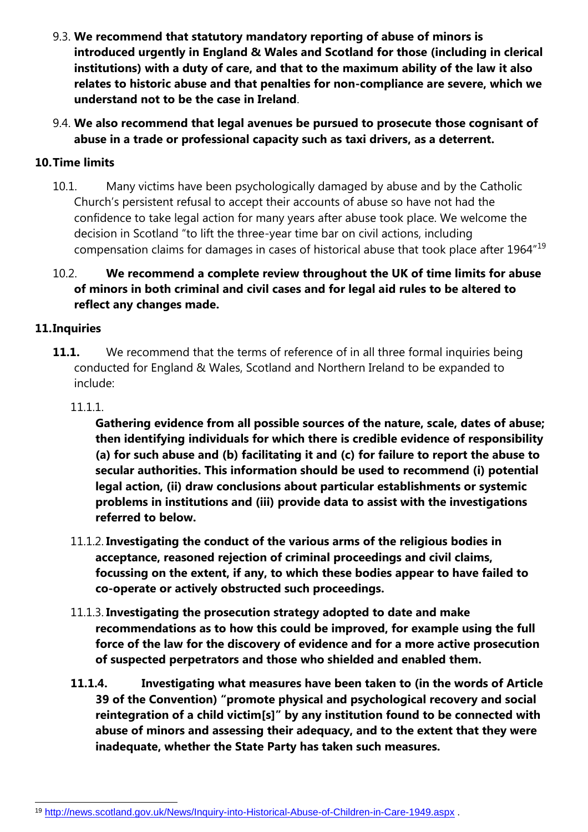- 9.3. **We recommend that statutory mandatory reporting of abuse of minors is introduced urgently in England & Wales and Scotland for those (including in clerical institutions) with a duty of care, and that to the maximum ability of the law it also relates to historic abuse and that penalties for non-compliance are severe, which we understand not to be the case in Ireland**.
- 9.4. **We also recommend that legal avenues be pursued to prosecute those cognisant of abuse in a trade or professional capacity such as taxi drivers, as a deterrent.**

#### **10.Time limits**

10.1. Many victims have been psychologically damaged by abuse and by the Catholic Church's persistent refusal to accept their accounts of abuse so have not had the confidence to take legal action for many years after abuse took place. We welcome the decision in Scotland "to lift the three-year time bar on civil actions, including compensation claims for damages in cases of historical abuse that took place after 1964"<sup>19</sup>

#### 10.2. **We recommend a complete review throughout the UK of time limits for abuse of minors in both criminal and civil cases and for legal aid rules to be altered to reflect any changes made.**

#### **11.Inquiries**

**11.1.** We recommend that the terms of reference of in all three formal inquiries being conducted for England & Wales, Scotland and Northern Ireland to be expanded to include:

#### 11.1.1.

**Gathering evidence from all possible sources of the nature, scale, dates of abuse; then identifying individuals for which there is credible evidence of responsibility (a) for such abuse and (b) facilitating it and (c) for failure to report the abuse to secular authorities. This information should be used to recommend (i) potential legal action, (ii) draw conclusions about particular establishments or systemic problems in institutions and (iii) provide data to assist with the investigations referred to below.**

- 11.1.2. **Investigating the conduct of the various arms of the religious bodies in acceptance, reasoned rejection of criminal proceedings and civil claims, focussing on the extent, if any, to which these bodies appear to have failed to co-operate or actively obstructed such proceedings.**
- 11.1.3. **Investigating the prosecution strategy adopted to date and make recommendations as to how this could be improved, for example using the full force of the law for the discovery of evidence and for a more active prosecution of suspected perpetrators and those who shielded and enabled them.**
- **11.1.4. Investigating what measures have been taken to (in the words of Article 39 of the Convention) "promote physical and psychological recovery and social reintegration of a child victim[s]" by any institution found to be connected with abuse of minors and assessing their adequacy, and to the extent that they were inadequate, whether the State Party has taken such measures.**

l 19 <http://news.scotland.gov.uk/News/Inquiry-into-Historical-Abuse-of-Children-in-Care-1949.aspx> .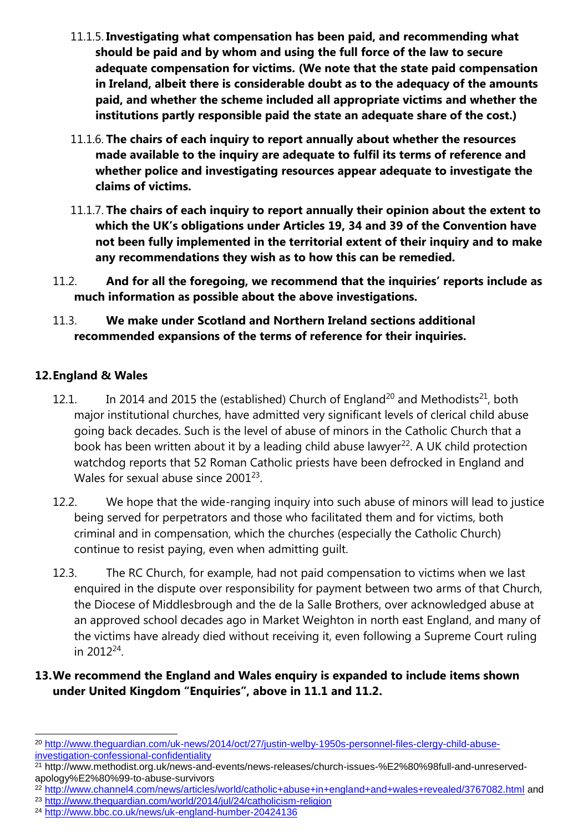- 11.1.5. **Investigating what compensation has been paid, and recommending what should be paid and by whom and using the full force of the law to secure adequate compensation for victims. (We note that the state paid compensation in Ireland, albeit there is considerable doubt as to the adequacy of the amounts paid, and whether the scheme included all appropriate victims and whether the institutions partly responsible paid the state an adequate share of the cost.)**
- 11.1.6. **The chairs of each inquiry to report annually about whether the resources made available to the inquiry are adequate to fulfil its terms of reference and whether police and investigating resources appear adequate to investigate the claims of victims.**
- 11.1.7. **The chairs of each inquiry to report annually their opinion about the extent to which the UK's obligations under Articles 19, 34 and 39 of the Convention have not been fully implemented in the territorial extent of their inquiry and to make any recommendations they wish as to how this can be remedied.**
- 11.2. **And for all the foregoing, we recommend that the inquiries' reports include as much information as possible about the above investigations.**

#### 11.3. **We make under Scotland and Northern Ireland sections additional recommended expansions of the terms of reference for their inquiries.**

#### **12.England & Wales**

- 12.1. In 2014 and 2015 the (established) Church of England<sup>20</sup> and Methodists<sup>21</sup>, both major institutional churches, have admitted very significant levels of clerical child abuse going back decades. Such is the level of abuse of minors in the Catholic Church that a book has been written about it by a leading child abuse lawyer<sup>22</sup>. A UK child protection watchdog reports that 52 Roman Catholic priests have been defrocked in England and Wales for sexual abuse since 2001 $^{23}$ .
- 12.2. We hope that the wide-ranging inquiry into such abuse of minors will lead to justice being served for perpetrators and those who facilitated them and for victims, both criminal and in compensation, which the churches (especially the Catholic Church) continue to resist paying, even when admitting guilt.
- 12.3. The RC Church, for example, had not paid compensation to victims when we last enquired in the dispute over responsibility for payment between two arms of that Church, the Diocese of Middlesbrough and the de la Salle Brothers, over acknowledged abuse at an approved school decades ago in Market Weighton in north east England, and many of the victims have already died without receiving it, even following a Supreme Court ruling in 2012 $^{24}$ .

#### **13.We recommend the England and Wales enquiry is expanded to include items shown under United Kingdom "Enquiries", above in 11.1 and 11.2.**

<sup>23</sup> <http://www.theguardian.com/world/2014/jul/24/catholicism-religion>

l <sup>20</sup> [http://www.theguardian.com/uk-news/2014/oct/27/justin-welby-1950s-personnel-files-clergy-child-abuse](http://www.theguardian.com/uk-news/2014/oct/27/justin-welby-1950s-personnel-files-clergy-child-abuse-investigation-confessional-confidentiality)[investigation-confessional-confidentiality](http://www.theguardian.com/uk-news/2014/oct/27/justin-welby-1950s-personnel-files-clergy-child-abuse-investigation-confessional-confidentiality)

<sup>21</sup> http://www.methodist.org.uk/news-and-events/news-releases/church-issues-%E2%80%98full-and-unreservedapology%E2%80%99-to-abuse-survivors

<sup>22</sup> <http://www.channel4.com/news/articles/world/catholic+abuse+in+england+and+wales+revealed/3767082.html> and

<sup>24</sup> <http://www.bbc.co.uk/news/uk-england-humber-20424136>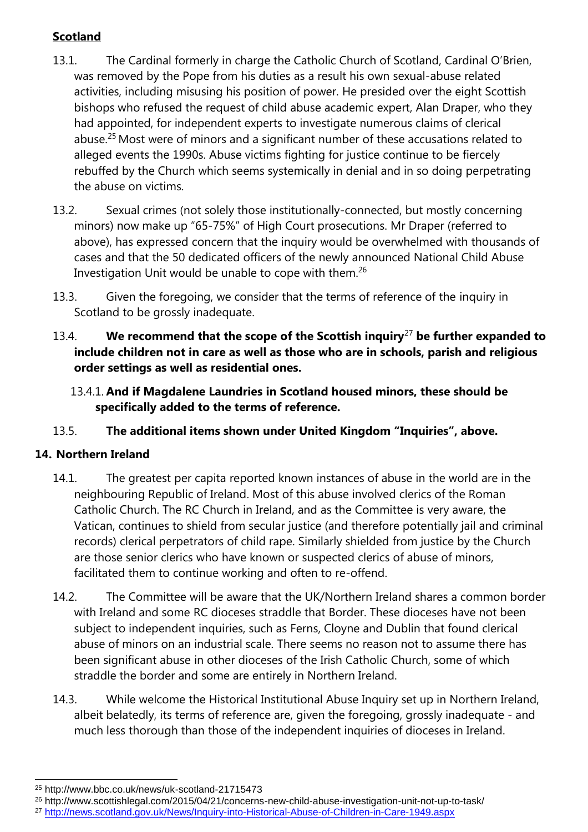# **Scotland**

- 13.1. The Cardinal formerly in charge the Catholic Church of Scotland, Cardinal O'Brien, was removed by the Pope from his duties as a result his own sexual-abuse related activities, including misusing his position of power. He presided over the eight Scottish bishops who refused the request of child abuse academic expert, Alan Draper, who they had appointed, for independent experts to investigate numerous claims of clerical abuse.<sup>25</sup> Most were of minors and a significant number of these accusations related to alleged events the 1990s. Abuse victims fighting for justice continue to be fiercely rebuffed by the Church which seems systemically in denial and in so doing perpetrating the abuse on victims.
- 13.2. Sexual crimes (not solely those institutionally-connected, but mostly concerning minors) now make up "65-75%" of High Court prosecutions. Mr Draper (referred to above), has expressed concern that the inquiry would be overwhelmed with thousands of cases and that the 50 dedicated officers of the newly announced National Child Abuse Investigation Unit would be unable to cope with them.<sup>26</sup>
- 13.3. Given the foregoing, we consider that the terms of reference of the inquiry in Scotland to be grossly inadequate.
- 13.4. **We recommend that the scope of the Scottish inquiry**<sup>27</sup> **be further expanded to include children not in care as well as those who are in schools, parish and religious order settings as well as residential ones.**
	- 13.4.1. **And if Magdalene Laundries in Scotland housed minors, these should be specifically added to the terms of reference.**

## 13.5. **The additional items shown under United Kingdom "Inquiries", above.**

## **14. Northern Ireland**

- 14.1. The greatest per capita reported known instances of abuse in the world are in the neighbouring Republic of Ireland. Most of this abuse involved clerics of the Roman Catholic Church. The RC Church in Ireland, and as the Committee is very aware, the Vatican, continues to shield from secular justice (and therefore potentially jail and criminal records) clerical perpetrators of child rape. Similarly shielded from justice by the Church are those senior clerics who have known or suspected clerics of abuse of minors, facilitated them to continue working and often to re-offend.
- 14.2. The Committee will be aware that the UK/Northern Ireland shares a common border with Ireland and some RC dioceses straddle that Border. These dioceses have not been subject to independent inquiries, such as Ferns, Cloyne and Dublin that found clerical abuse of minors on an industrial scale. There seems no reason not to assume there has been significant abuse in other dioceses of the Irish Catholic Church, some of which straddle the border and some are entirely in Northern Ireland.
- 14.3. While welcome the Historical Institutional Abuse Inquiry set up in Northern Ireland, albeit belatedly, its terms of reference are, given the foregoing, grossly inadequate - and much less thorough than those of the independent inquiries of dioceses in Ireland.

<sup>25</sup> http://www.bbc.co.uk/news/uk-scotland-21715473

<sup>26</sup> http://www.scottishlegal.com/2015/04/21/concerns-new-child-abuse-investigation-unit-not-up-to-task/

<sup>27</sup> <http://news.scotland.gov.uk/News/Inquiry-into-Historical-Abuse-of-Children-in-Care-1949.aspx>